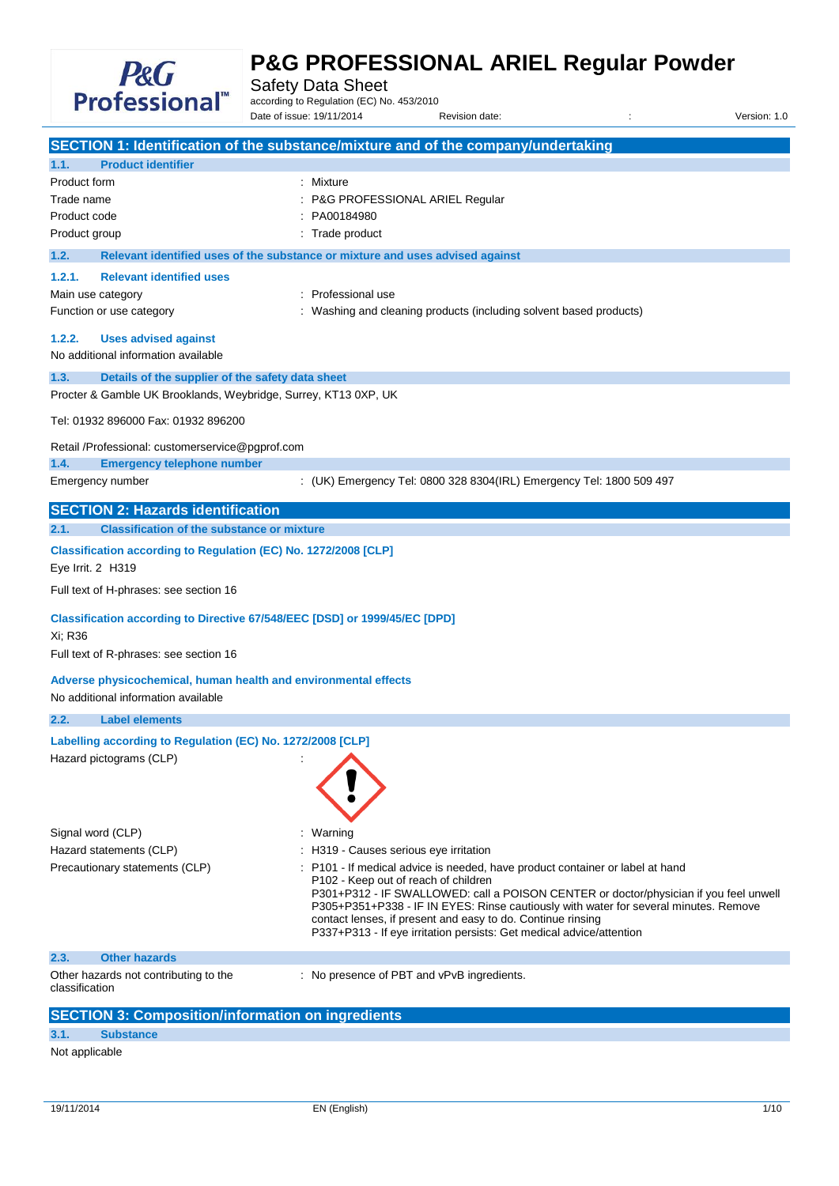

Safety Data Sheet

according to Regulation (EC) No. 453/2010 Date of issue: 19/11/2014 Revision date: <br>
Revision date:  $\frac{1}{2}$  Revision: 1.0

|                                                                                                        | SECTION 1: Identification of the substance/mixture and of the company/undertaking                                                                                                                                                                                                                                                                                                                                                                         |
|--------------------------------------------------------------------------------------------------------|-----------------------------------------------------------------------------------------------------------------------------------------------------------------------------------------------------------------------------------------------------------------------------------------------------------------------------------------------------------------------------------------------------------------------------------------------------------|
| <b>Product identifier</b><br>1.1.                                                                      |                                                                                                                                                                                                                                                                                                                                                                                                                                                           |
| Product form                                                                                           | : Mixture                                                                                                                                                                                                                                                                                                                                                                                                                                                 |
| Trade name                                                                                             | P&G PROFESSIONAL ARIEL Regular                                                                                                                                                                                                                                                                                                                                                                                                                            |
| Product code                                                                                           | PA00184980                                                                                                                                                                                                                                                                                                                                                                                                                                                |
| Product group                                                                                          | Trade product                                                                                                                                                                                                                                                                                                                                                                                                                                             |
| 1.2.                                                                                                   | Relevant identified uses of the substance or mixture and uses advised against                                                                                                                                                                                                                                                                                                                                                                             |
| <b>Relevant identified uses</b><br>1.2.1.                                                              |                                                                                                                                                                                                                                                                                                                                                                                                                                                           |
| Main use category                                                                                      | Professional use                                                                                                                                                                                                                                                                                                                                                                                                                                          |
| Function or use category                                                                               | : Washing and cleaning products (including solvent based products)                                                                                                                                                                                                                                                                                                                                                                                        |
| 1.2.2.<br><b>Uses advised against</b><br>No additional information available                           |                                                                                                                                                                                                                                                                                                                                                                                                                                                           |
| Details of the supplier of the safety data sheet<br>1.3.                                               |                                                                                                                                                                                                                                                                                                                                                                                                                                                           |
| Procter & Gamble UK Brooklands, Weybridge, Surrey, KT13 0XP, UK                                        |                                                                                                                                                                                                                                                                                                                                                                                                                                                           |
| Tel: 01932 896000 Fax: 01932 896200                                                                    |                                                                                                                                                                                                                                                                                                                                                                                                                                                           |
| Retail /Professional: customerservice@pgprof.com<br>1.4.<br><b>Emergency telephone number</b>          |                                                                                                                                                                                                                                                                                                                                                                                                                                                           |
| Emergency number                                                                                       | : (UK) Emergency Tel: 0800 328 8304(IRL) Emergency Tel: 1800 509 497                                                                                                                                                                                                                                                                                                                                                                                      |
| <b>SECTION 2: Hazards identification</b>                                                               |                                                                                                                                                                                                                                                                                                                                                                                                                                                           |
| <b>Classification of the substance or mixture</b><br>2.1.                                              |                                                                                                                                                                                                                                                                                                                                                                                                                                                           |
|                                                                                                        |                                                                                                                                                                                                                                                                                                                                                                                                                                                           |
| Classification according to Regulation (EC) No. 1272/2008 [CLP]<br>Eye Irrit. 2 H319                   |                                                                                                                                                                                                                                                                                                                                                                                                                                                           |
| Full text of H-phrases: see section 16                                                                 |                                                                                                                                                                                                                                                                                                                                                                                                                                                           |
| Classification according to Directive 67/548/EEC [DSD] or 1999/45/EC [DPD]<br>Xi; R36                  |                                                                                                                                                                                                                                                                                                                                                                                                                                                           |
| Full text of R-phrases: see section 16                                                                 |                                                                                                                                                                                                                                                                                                                                                                                                                                                           |
| Adverse physicochemical, human health and environmental effects<br>No additional information available |                                                                                                                                                                                                                                                                                                                                                                                                                                                           |
| <b>Label elements</b><br>2.2.                                                                          |                                                                                                                                                                                                                                                                                                                                                                                                                                                           |
| Labelling according to Regulation (EC) No. 1272/2008 [CLP]<br>Hazard pictograms (CLP)                  |                                                                                                                                                                                                                                                                                                                                                                                                                                                           |
| Signal word (CLP)                                                                                      | : Warning                                                                                                                                                                                                                                                                                                                                                                                                                                                 |
| Hazard statements (CLP)                                                                                | : H319 - Causes serious eye irritation                                                                                                                                                                                                                                                                                                                                                                                                                    |
| Precautionary statements (CLP)                                                                         | : P101 - If medical advice is needed, have product container or label at hand<br>P <sub>102</sub> - Keep out of reach of children<br>P301+P312 - IF SWALLOWED: call a POISON CENTER or doctor/physician if you feel unwell<br>P305+P351+P338 - IF IN EYES: Rinse cautiously with water for several minutes. Remove<br>contact lenses, if present and easy to do. Continue rinsing<br>P337+P313 - If eye irritation persists: Get medical advice/attention |
| <b>Other hazards</b><br>2.3.                                                                           |                                                                                                                                                                                                                                                                                                                                                                                                                                                           |
| Other hazards not contributing to the<br>classification                                                | : No presence of PBT and vPvB ingredients.                                                                                                                                                                                                                                                                                                                                                                                                                |
| <b>SECTION 3: Composition/information on ingredients</b>                                               |                                                                                                                                                                                                                                                                                                                                                                                                                                                           |
| 3.1.<br><b>Substance</b>                                                                               |                                                                                                                                                                                                                                                                                                                                                                                                                                                           |
|                                                                                                        |                                                                                                                                                                                                                                                                                                                                                                                                                                                           |

Not applicable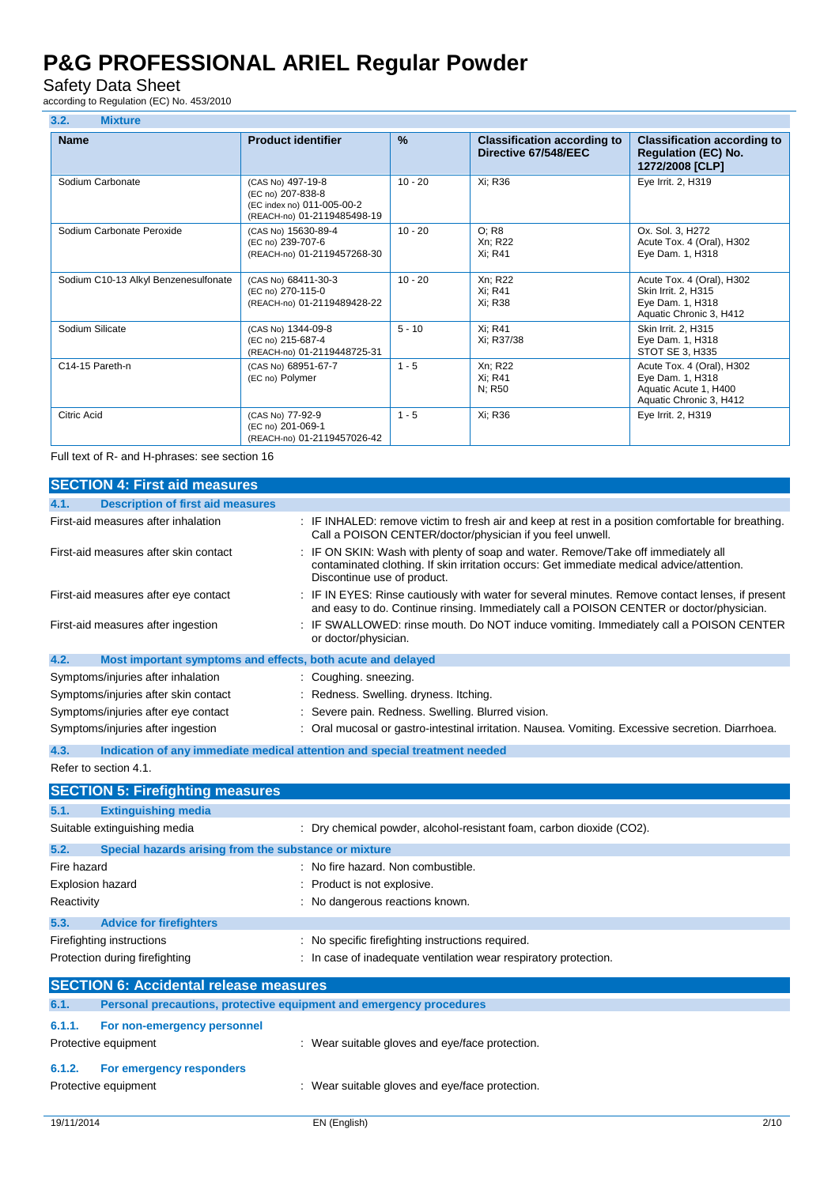### Safety Data Sheet

according to Regulation (EC) No. 453/2010

| 3.2.<br><b>Mixture</b>               |                                                                                                     |               |                                                            |                                                                                                   |
|--------------------------------------|-----------------------------------------------------------------------------------------------------|---------------|------------------------------------------------------------|---------------------------------------------------------------------------------------------------|
| <b>Name</b>                          | <b>Product identifier</b>                                                                           | $\frac{9}{6}$ | <b>Classification according to</b><br>Directive 67/548/EEC | <b>Classification according to</b><br><b>Regulation (EC) No.</b><br>1272/2008 [CLP]               |
| Sodium Carbonate                     | (CAS No) 497-19-8<br>(EC no) 207-838-8<br>(EC index no) 011-005-00-2<br>(REACH-no) 01-2119485498-19 | $10 - 20$     | Xi: R36                                                    | Eye Irrit. 2, H319                                                                                |
| Sodium Carbonate Peroxide            | (CAS No) 15630-89-4<br>(EC no) 239-707-6<br>(REACH-no) 01-2119457268-30                             | $10 - 20$     | O: R8<br>Xn; R22<br>Xi: R41                                | Ox. Sol. 3, H272<br>Acute Tox. 4 (Oral), H302<br>Eye Dam. 1, H318                                 |
| Sodium C10-13 Alkyl Benzenesulfonate | (CAS No) 68411-30-3<br>(EC no) 270-115-0<br>(REACH-no) 01-2119489428-22                             | $10 - 20$     | Xn; R22<br>Xi: R41<br>Xi: R38                              | Acute Tox. 4 (Oral), H302<br>Skin Irrit. 2, H315<br>Eye Dam. 1, H318<br>Aquatic Chronic 3, H412   |
| Sodium Silicate                      | (CAS No) 1344-09-8<br>(EC no) 215-687-4<br>(REACH-no) 01-2119448725-31                              | $5 - 10$      | Xi: R41<br>Xi: R37/38                                      | Skin Irrit. 2, H315<br>Eye Dam. 1, H318<br>STOT SE 3, H335                                        |
| C14-15 Pareth-n                      | (CAS No) 68951-67-7<br>(EC no) Polymer                                                              | $1 - 5$       | Xn; R22<br>Xi; R41<br>N: R50                               | Acute Tox. 4 (Oral), H302<br>Eye Dam. 1, H318<br>Aquatic Acute 1, H400<br>Aquatic Chronic 3, H412 |
| <b>Citric Acid</b>                   | (CAS No) 77-92-9<br>(EC no) 201-069-1<br>(REACH-no) 01-2119457026-42                                | $1 - 5$       | Xi: R36                                                    | Eye Irrit. 2, H319                                                                                |

Full text of R- and H-phrases: see section 16

| <b>SECTION 4: First aid measures</b>                                |                                                                                                                                                                                                               |
|---------------------------------------------------------------------|---------------------------------------------------------------------------------------------------------------------------------------------------------------------------------------------------------------|
| 4.1.<br><b>Description of first aid measures</b>                    |                                                                                                                                                                                                               |
| First-aid measures after inhalation                                 | : IF INHALED: remove victim to fresh air and keep at rest in a position comfortable for breathing.<br>Call a POISON CENTER/doctor/physician if you feel unwell.                                               |
| First-aid measures after skin contact                               | : IF ON SKIN: Wash with plenty of soap and water. Remove/Take off immediately all<br>contaminated clothing. If skin irritation occurs: Get immediate medical advice/attention.<br>Discontinue use of product. |
| First-aid measures after eye contact                                | : IF IN EYES: Rinse cautiously with water for several minutes. Remove contact lenses, if present<br>and easy to do. Continue rinsing. Immediately call a POISON CENTER or doctor/physician.                   |
| First-aid measures after ingestion                                  | : IF SWALLOWED: rinse mouth. Do NOT induce vomiting. Immediately call a POISON CENTER<br>or doctor/physician.                                                                                                 |
| 4.2.<br>Most important symptoms and effects, both acute and delayed |                                                                                                                                                                                                               |
| Symptoms/injuries after inhalation                                  | Coughing. sneezing.                                                                                                                                                                                           |
| Symptoms/injuries after skin contact                                | : Redness. Swelling. dryness. Itching.                                                                                                                                                                        |
| Symptoms/injuries after eye contact                                 | : Severe pain. Redness. Swelling. Blurred vision.                                                                                                                                                             |
| Symptoms/injuries after ingestion                                   | : Oral mucosal or gastro-intestinal irritation. Nausea. Vomiting. Excessive secretion. Diarrhoea.                                                                                                             |

**4.3. Indication of any immediate medical attention and special treatment needed** Refer to section 4.1.

|                                               | <b>SECTION 5: Firefighting measures</b>                             |                                                                      |
|-----------------------------------------------|---------------------------------------------------------------------|----------------------------------------------------------------------|
| 5.1.                                          | <b>Extinguishing media</b>                                          |                                                                      |
|                                               | Suitable extinguishing media                                        | : Dry chemical powder, alcohol-resistant foam, carbon dioxide (CO2). |
| 5.2.                                          | Special hazards arising from the substance or mixture               |                                                                      |
| Fire hazard                                   |                                                                     | : No fire hazard. Non combustible.                                   |
| Explosion hazard                              |                                                                     | Product is not explosive.                                            |
| Reactivity                                    |                                                                     | : No dangerous reactions known.                                      |
| 5.3.                                          | <b>Advice for firefighters</b>                                      |                                                                      |
|                                               | Firefighting instructions                                           | : No specific firefighting instructions required.                    |
|                                               | Protection during firefighting                                      | : In case of inadequate ventilation wear respiratory protection.     |
| <b>SECTION 6: Accidental release measures</b> |                                                                     |                                                                      |
| 6.1.                                          | Personal precautions, protective equipment and emergency procedures |                                                                      |
| 6.1.1.                                        | For non-emergency personnel                                         |                                                                      |
|                                               | Protective equipment                                                | : Wear suitable gloves and eye/face protection.                      |
| 6.1.2.                                        | For emergency responders                                            |                                                                      |
|                                               | Protective equipment                                                | Wear suitable gloves and eye/face protection.                        |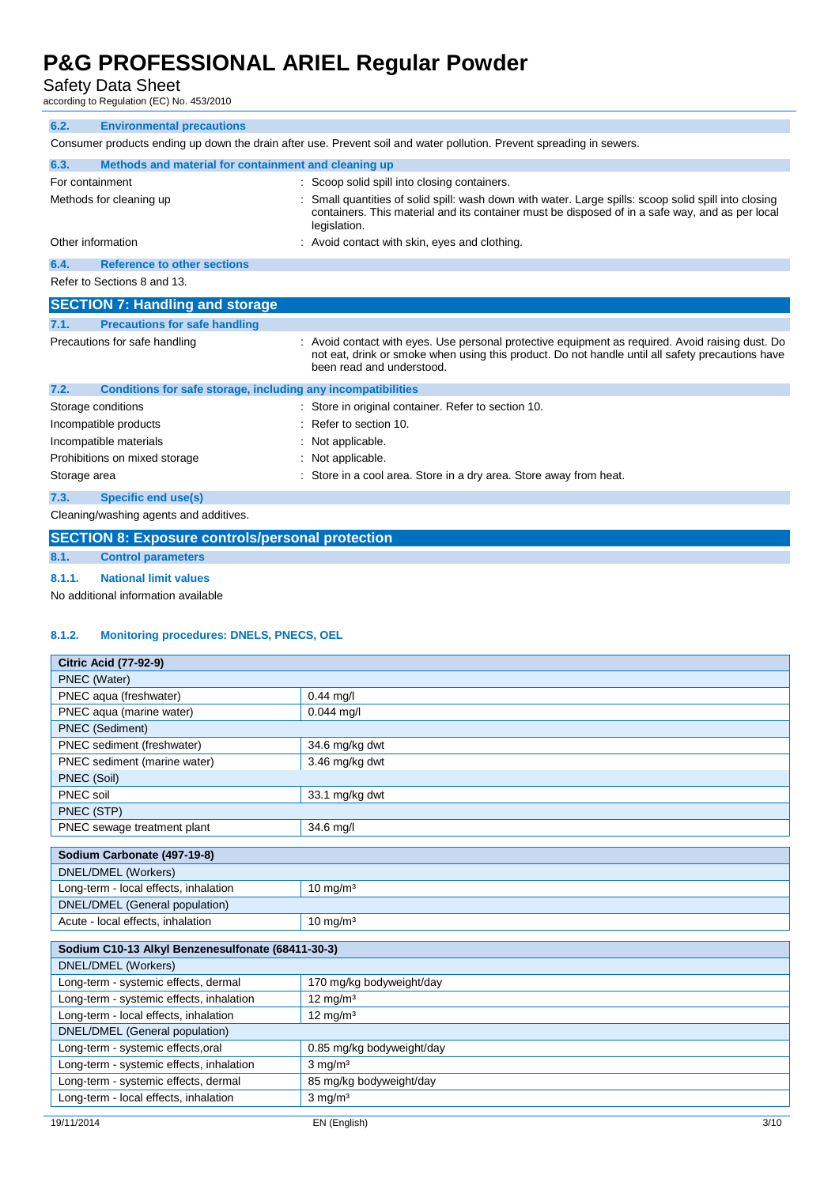#### Safety Data Sheet

according to Regulation (EC) No. 453/2010

| 6.2.                                                                                                                 | <b>Environmental precautions</b>                             |  |                                                                                                                                                                                                                                   |
|----------------------------------------------------------------------------------------------------------------------|--------------------------------------------------------------|--|-----------------------------------------------------------------------------------------------------------------------------------------------------------------------------------------------------------------------------------|
| Consumer products ending up down the drain after use. Prevent soil and water pollution. Prevent spreading in sewers. |                                                              |  |                                                                                                                                                                                                                                   |
| 6.3.                                                                                                                 | Methods and material for containment and cleaning up         |  |                                                                                                                                                                                                                                   |
| For containment                                                                                                      |                                                              |  | Scoop solid spill into closing containers.                                                                                                                                                                                        |
|                                                                                                                      | Methods for cleaning up                                      |  | Small quantities of solid spill: wash down with water. Large spills: scoop solid spill into closing<br>containers. This material and its container must be disposed of in a safe way, and as per local<br>legislation.            |
| Other information                                                                                                    |                                                              |  | : Avoid contact with skin, eyes and clothing.                                                                                                                                                                                     |
| 6.4.                                                                                                                 | <b>Reference to other sections</b>                           |  |                                                                                                                                                                                                                                   |
|                                                                                                                      | Refer to Sections 8 and 13.                                  |  |                                                                                                                                                                                                                                   |
|                                                                                                                      | <b>SECTION 7: Handling and storage</b>                       |  |                                                                                                                                                                                                                                   |
| 7.1.                                                                                                                 | <b>Precautions for safe handling</b>                         |  |                                                                                                                                                                                                                                   |
|                                                                                                                      | Precautions for safe handling                                |  | : Avoid contact with eyes. Use personal protective equipment as required. Avoid raising dust. Do<br>not eat, drink or smoke when using this product. Do not handle until all safety precautions have<br>been read and understood. |
| 7.2.                                                                                                                 | Conditions for safe storage, including any incompatibilities |  |                                                                                                                                                                                                                                   |
|                                                                                                                      | Storage conditions                                           |  | Store in original container. Refer to section 10.                                                                                                                                                                                 |
|                                                                                                                      | Incompatible products                                        |  | Refer to section 10.                                                                                                                                                                                                              |
|                                                                                                                      | Incompatible materials                                       |  | Not applicable.                                                                                                                                                                                                                   |
|                                                                                                                      | Prohibitions on mixed storage                                |  | : Not applicable.                                                                                                                                                                                                                 |
| Storage area                                                                                                         |                                                              |  | Store in a cool area. Store in a dry area. Store away from heat.                                                                                                                                                                  |
| 7.3.                                                                                                                 | <b>Specific end use(s)</b>                                   |  |                                                                                                                                                                                                                                   |
| Cleaning/washing agents and additives.                                                                               |                                                              |  |                                                                                                                                                                                                                                   |
|                                                                                                                      | <b>SECTION 8: Exposure controls/personal protection</b>      |  |                                                                                                                                                                                                                                   |
|                                                                                                                      | Control in consideration                                     |  |                                                                                                                                                                                                                                   |

#### **8.1. Control parameters**

**8.1.1. National limit values**

No additional information available

#### **8.1.2. Monitoring procedures: DNELS, PNECS, OEL**

| <b>Citric Acid (77-92-9)</b>          |                     |  |
|---------------------------------------|---------------------|--|
| PNEC (Water)                          |                     |  |
| PNEC aqua (freshwater)                | $0.44$ mg/l         |  |
| PNEC aqua (marine water)              | $0.044$ mg/l        |  |
| <b>PNEC</b> (Sediment)                |                     |  |
| PNEC sediment (freshwater)            | 34.6 mg/kg dwt      |  |
| PNEC sediment (marine water)          | 3.46 mg/kg dwt      |  |
| PNEC (Soil)                           |                     |  |
| PNEC soil                             | 33.1 mg/kg dwt      |  |
| PNEC (STP)                            |                     |  |
| PNEC sewage treatment plant           | 34.6 mg/l           |  |
|                                       |                     |  |
| Sodium Carbonate (497-19-8)           |                     |  |
| DNEL/DMEL (Workers)                   |                     |  |
| Long-term - local effects, inhalation | $10 \text{ mg/m}^3$ |  |
| DNEL/DMEL (General population)        |                     |  |
| Acute - local effects, inhalation     | $10 \text{ mg/m}^3$ |  |

| Sodium C10-13 Alkyl Benzenesulfonate (68411-30-3) |                           |  |
|---------------------------------------------------|---------------------------|--|
| DNEL/DMEL (Workers)                               |                           |  |
| Long-term - systemic effects, dermal              | 170 mg/kg bodyweight/day  |  |
| Long-term - systemic effects, inhalation          | $12 \text{ mg/m}^3$       |  |
| Long-term - local effects, inhalation             | $12 \text{ mg/m}^3$       |  |
| DNEL/DMEL (General population)                    |                           |  |
| Long-term - systemic effects, oral                | 0.85 mg/kg bodyweight/day |  |
| Long-term - systemic effects, inhalation          | $3 \text{ mg/m}^3$        |  |
| Long-term - systemic effects, dermal              | 85 mg/kg bodyweight/day   |  |
| Long-term - local effects, inhalation             | $3 \text{ mg/m}^3$        |  |
|                                                   |                           |  |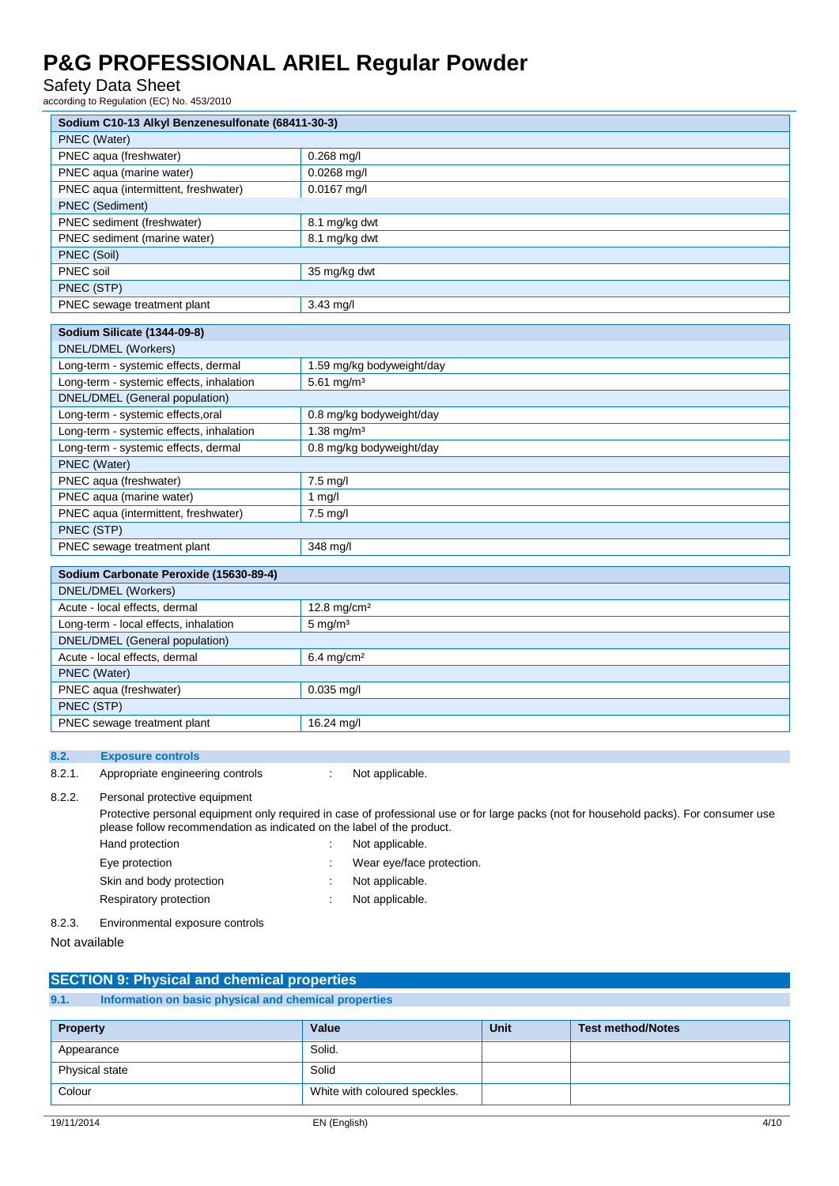Safety Data Sheet

according to Regulation (EC) No. 453/2010

| Sodium C10-13 Alkyl Benzenesulfonate (68411-30-3)                                                                                                                                                                |                           |  |
|------------------------------------------------------------------------------------------------------------------------------------------------------------------------------------------------------------------|---------------------------|--|
| PNEC (Water)                                                                                                                                                                                                     |                           |  |
| PNEC aqua (freshwater)                                                                                                                                                                                           | $0.268$ mg/l              |  |
| PNEC aqua (marine water)                                                                                                                                                                                         | $0.0268$ mg/l             |  |
| PNEC aqua (intermittent, freshwater)                                                                                                                                                                             | $0.0167$ mg/l             |  |
| PNEC (Sediment)                                                                                                                                                                                                  |                           |  |
| PNEC sediment (freshwater)                                                                                                                                                                                       | 8.1 mg/kg dwt             |  |
| PNEC sediment (marine water)                                                                                                                                                                                     | 8.1 mg/kg dwt             |  |
| PNEC (Soil)                                                                                                                                                                                                      |                           |  |
| PNEC soil                                                                                                                                                                                                        | 35 mg/kg dwt              |  |
| PNEC (STP)                                                                                                                                                                                                       |                           |  |
| PNEC sewage treatment plant                                                                                                                                                                                      | 3.43 mg/l                 |  |
|                                                                                                                                                                                                                  |                           |  |
| Sodium Silicate (1344-09-8)                                                                                                                                                                                      |                           |  |
| DNEL/DMEL (Workers)                                                                                                                                                                                              |                           |  |
| Long-term - systemic effects, dermal                                                                                                                                                                             | 1.59 mg/kg bodyweight/day |  |
| Long-term - systemic effects, inhalation                                                                                                                                                                         | 5.61 mg/m <sup>3</sup>    |  |
| <b>DNEL/DMEL</b> (General population)                                                                                                                                                                            |                           |  |
| Long-term - systemic effects, oral                                                                                                                                                                               | 0.8 mg/kg bodyweight/day  |  |
| Long-term - systemic effects, inhalation                                                                                                                                                                         | $1.38 \text{ mg/m}^3$     |  |
| Long-term - systemic effects, dermal                                                                                                                                                                             | 0.8 mg/kg bodyweight/day  |  |
| PNEC (Water)                                                                                                                                                                                                     |                           |  |
| PNEC aqua (freshwater)                                                                                                                                                                                           | $7.5$ mg/l                |  |
| PNEC aqua (marine water)                                                                                                                                                                                         | 1 $mg/l$                  |  |
| PNEC aqua (intermittent, freshwater)                                                                                                                                                                             | 7.5 mg/l                  |  |
| PNEC (STP)                                                                                                                                                                                                       |                           |  |
| PNEC sewage treatment plant                                                                                                                                                                                      | 348 mg/l                  |  |
| Sodium Carbonate Peroxide (15630-89-4)                                                                                                                                                                           |                           |  |
| DNEL/DMEL (Workers)                                                                                                                                                                                              |                           |  |
| Acute - local effects, dermal                                                                                                                                                                                    | 12.8 mg/cm <sup>2</sup>   |  |
| Long-term - local effects, inhalation                                                                                                                                                                            | $5 \text{ mg/m}^3$        |  |
| DNEL/DMEL (General population)                                                                                                                                                                                   |                           |  |
| Acute - local effects, dermal                                                                                                                                                                                    | $6.4 \text{ mg/cm}^2$     |  |
| PNEC (Water)                                                                                                                                                                                                     |                           |  |
| PNEC aqua (freshwater)                                                                                                                                                                                           | $0.035$ mg/l              |  |
| PNEC (STP)                                                                                                                                                                                                       |                           |  |
| PNEC sewage treatment plant                                                                                                                                                                                      | 16.24 mg/l                |  |
|                                                                                                                                                                                                                  |                           |  |
| 8.2.<br><b>Exposure controls</b>                                                                                                                                                                                 |                           |  |
| 8.2.1.<br>Appropriate engineering controls                                                                                                                                                                       | Not applicable.<br>÷      |  |
| 8.2.2.<br>Personal protective equipment                                                                                                                                                                          |                           |  |
| Protective personal equipment only required in case of professional use or for large packs (not for household packs). For consumer use<br>please follow recommendation as indicated on the label of the product. |                           |  |

Hand protection **in the case of the case of the case of the case of the case of the case of the case of the case of the case of the case of the case of the case of the case of the case of the case of the case of the case o** Eye protection **in the contract of the CO** is a Wear eye/face protection. Skin and body protection : Not applicable. Respiratory protection in the set of the Not applicable. 8.2.3. Environmental exposure controls

Not available

| <b>SECTION 9: Physical and chemical properties</b> |                                                       |  |
|----------------------------------------------------|-------------------------------------------------------|--|
| 9.1.                                               | Information on basic physical and chemical properties |  |
|                                                    |                                                       |  |

| <b>Property</b> | Value                         | <b>Unit</b> | Test method/Notes |
|-----------------|-------------------------------|-------------|-------------------|
| Appearance      | Solid.                        |             |                   |
| Physical state  | Solid                         |             |                   |
| Colour          | White with coloured speckles. |             |                   |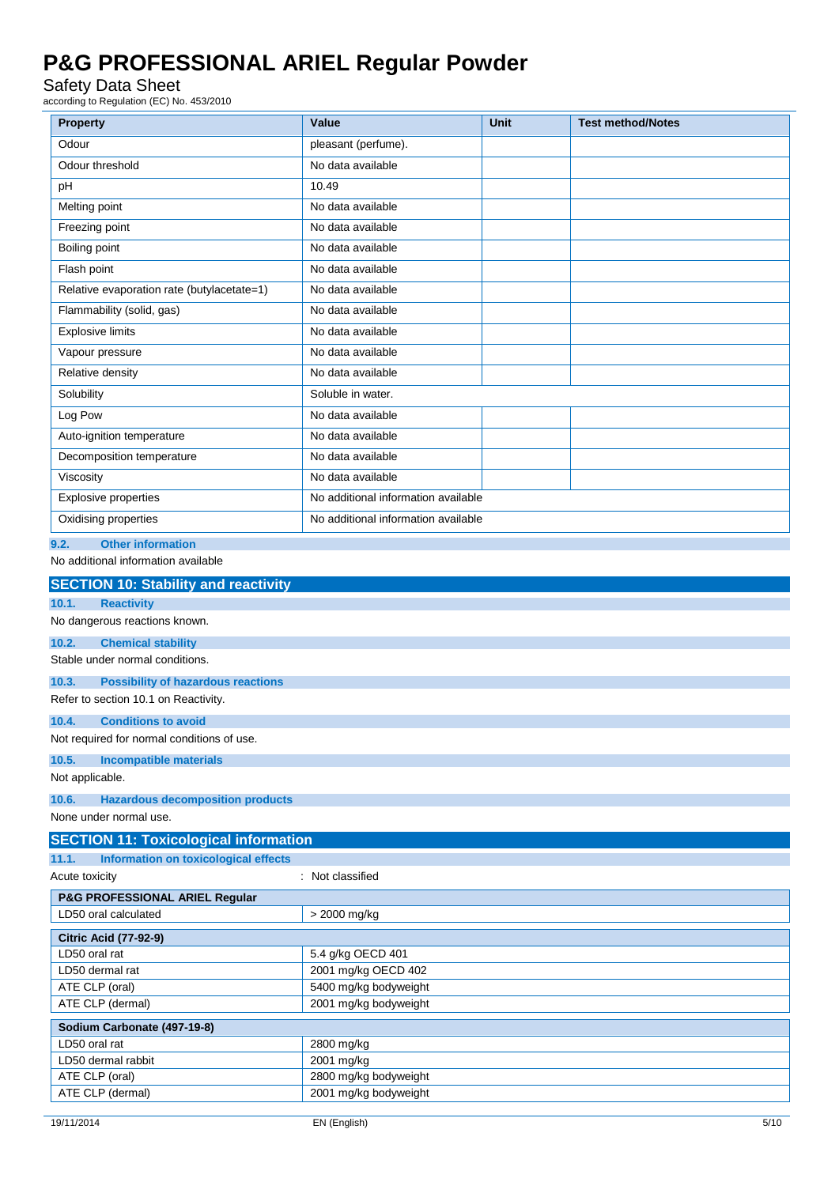### Safety Data Sheet

according to Regulation (EC) No. 453/2010

| <b>Property</b>                                                        | Value                                  | <b>Unit</b> | <b>Test method/Notes</b> |  |  |
|------------------------------------------------------------------------|----------------------------------------|-------------|--------------------------|--|--|
| Odour                                                                  | pleasant (perfume).                    |             |                          |  |  |
| Odour threshold                                                        | No data available                      |             |                          |  |  |
| pH                                                                     | 10.49                                  |             |                          |  |  |
| Melting point                                                          | No data available                      |             |                          |  |  |
| Freezing point                                                         | No data available                      |             |                          |  |  |
| Boiling point                                                          | No data available                      |             |                          |  |  |
| Flash point                                                            | No data available                      |             |                          |  |  |
|                                                                        |                                        |             |                          |  |  |
| Relative evaporation rate (butylacetate=1)                             | No data available<br>No data available |             |                          |  |  |
| Flammability (solid, gas)                                              |                                        |             |                          |  |  |
| <b>Explosive limits</b>                                                | No data available                      |             |                          |  |  |
| Vapour pressure                                                        | No data available                      |             |                          |  |  |
| Relative density                                                       | No data available                      |             |                          |  |  |
| Solubility                                                             | Soluble in water.                      |             |                          |  |  |
| Log Pow                                                                | No data available                      |             |                          |  |  |
| Auto-ignition temperature                                              | No data available                      |             |                          |  |  |
| Decomposition temperature                                              | No data available                      |             |                          |  |  |
| Viscosity                                                              | No data available                      |             |                          |  |  |
| <b>Explosive properties</b>                                            | No additional information available    |             |                          |  |  |
| Oxidising properties                                                   | No additional information available    |             |                          |  |  |
| <b>Other information</b><br>9.2.                                       |                                        |             |                          |  |  |
| No additional information available                                    |                                        |             |                          |  |  |
| <b>SECTION 10: Stability and reactivity</b>                            |                                        |             |                          |  |  |
| 10.1.<br><b>Reactivity</b>                                             |                                        |             |                          |  |  |
| No dangerous reactions known.                                          |                                        |             |                          |  |  |
| 10.2.<br><b>Chemical stability</b>                                     |                                        |             |                          |  |  |
| Stable under normal conditions.                                        |                                        |             |                          |  |  |
| 10.3.<br><b>Possibility of hazardous reactions</b>                     |                                        |             |                          |  |  |
| Refer to section 10.1 on Reactivity.                                   |                                        |             |                          |  |  |
| <b>Conditions to avoid</b><br>10.4.                                    |                                        |             |                          |  |  |
| Not required for normal conditions of use                              |                                        |             |                          |  |  |
| 10.5.<br><b>Incompatible materials</b>                                 |                                        |             |                          |  |  |
| Not applicable.                                                        |                                        |             |                          |  |  |
| 10.6.<br><b>Hazardous decomposition products</b>                       |                                        |             |                          |  |  |
| None under normal use.                                                 |                                        |             |                          |  |  |
| <b>SECTION 11: Toxicological information</b>                           |                                        |             |                          |  |  |
| <b>Information on toxicological effects</b><br>11.1.<br>Acute toxicity | : Not classified                       |             |                          |  |  |
| P&G PROFESSIONAL ARIEL Regular                                         |                                        |             |                          |  |  |
| LD50 oral calculated                                                   | > 2000 mg/kg                           |             |                          |  |  |
| <b>Citric Acid (77-92-9)</b>                                           |                                        |             |                          |  |  |
| LD50 oral rat                                                          | 5.4 g/kg OECD 401                      |             |                          |  |  |
| LD50 dermal rat                                                        | 2001 mg/kg OECD 402                    |             |                          |  |  |
| ATE CLP (oral)                                                         | 5400 mg/kg bodyweight                  |             |                          |  |  |
| ATE CLP (dermal)<br>2001 mg/kg bodyweight                              |                                        |             |                          |  |  |
| Sodium Carbonate (497-19-8)                                            |                                        |             |                          |  |  |
| LD50 oral rat                                                          | 2800 mg/kg                             |             |                          |  |  |
| LD50 dermal rabbit<br>ATE CLP (oral)                                   | 2001 mg/kg<br>2800 mg/kg bodyweight    |             |                          |  |  |
| ATE CLP (dermal)                                                       | 2001 mg/kg bodyweight                  |             |                          |  |  |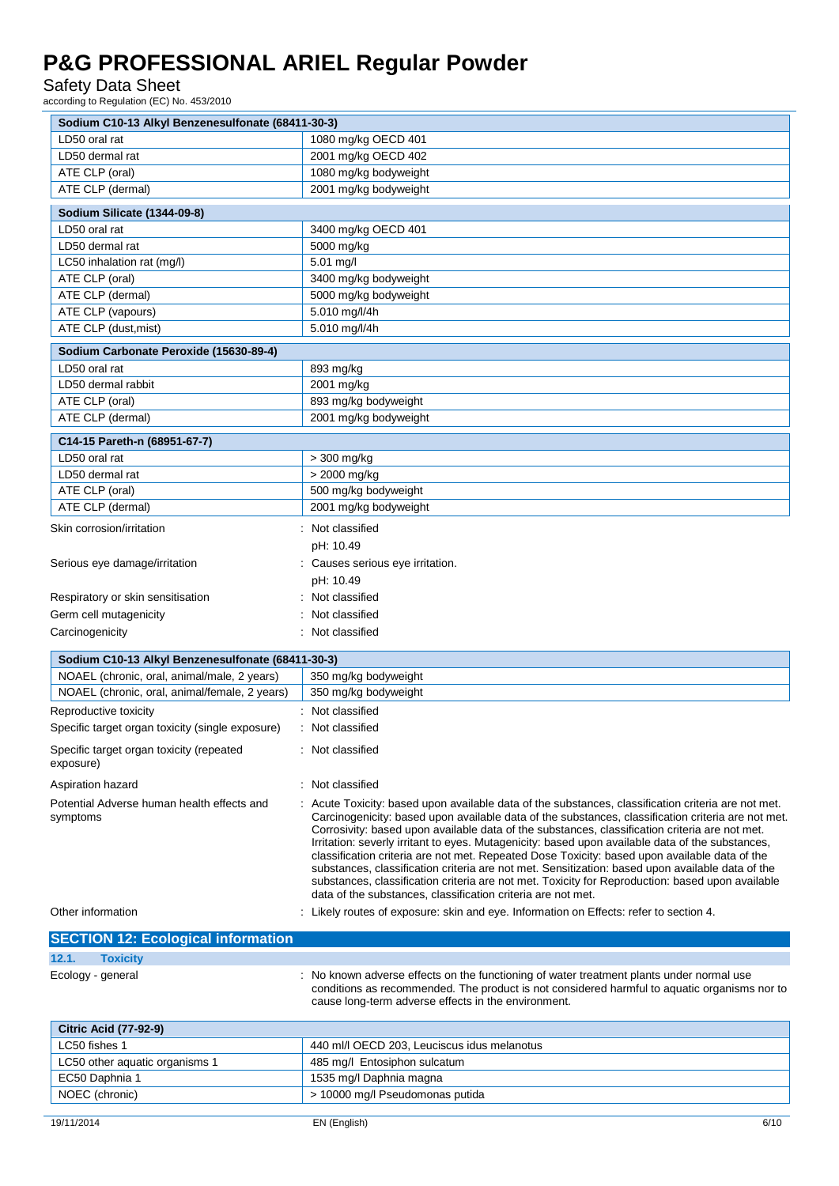Safety Data Sheet

according to Regulation (EC) No. 453/2010

| Sodium C10-13 Alkyl Benzenesulfonate (68411-30-3)      |                                                                                                                                                                                                                                                                                                                                                                                                                                                                                                                                                                                                                                                                                                                                                                                          |  |
|--------------------------------------------------------|------------------------------------------------------------------------------------------------------------------------------------------------------------------------------------------------------------------------------------------------------------------------------------------------------------------------------------------------------------------------------------------------------------------------------------------------------------------------------------------------------------------------------------------------------------------------------------------------------------------------------------------------------------------------------------------------------------------------------------------------------------------------------------------|--|
| LD50 oral rat                                          | 1080 mg/kg OECD 401                                                                                                                                                                                                                                                                                                                                                                                                                                                                                                                                                                                                                                                                                                                                                                      |  |
| LD50 dermal rat                                        | 2001 mg/kg OECD 402                                                                                                                                                                                                                                                                                                                                                                                                                                                                                                                                                                                                                                                                                                                                                                      |  |
| ATE CLP (oral)                                         | 1080 mg/kg bodyweight                                                                                                                                                                                                                                                                                                                                                                                                                                                                                                                                                                                                                                                                                                                                                                    |  |
| ATE CLP (dermal)                                       | 2001 mg/kg bodyweight                                                                                                                                                                                                                                                                                                                                                                                                                                                                                                                                                                                                                                                                                                                                                                    |  |
| Sodium Silicate (1344-09-8)                            |                                                                                                                                                                                                                                                                                                                                                                                                                                                                                                                                                                                                                                                                                                                                                                                          |  |
| LD50 oral rat                                          | 3400 mg/kg OECD 401                                                                                                                                                                                                                                                                                                                                                                                                                                                                                                                                                                                                                                                                                                                                                                      |  |
| LD50 dermal rat                                        | 5000 mg/kg                                                                                                                                                                                                                                                                                                                                                                                                                                                                                                                                                                                                                                                                                                                                                                               |  |
| LC50 inhalation rat (mg/l)                             | 5.01 mg/l                                                                                                                                                                                                                                                                                                                                                                                                                                                                                                                                                                                                                                                                                                                                                                                |  |
| ATE CLP (oral)                                         | 3400 mg/kg bodyweight                                                                                                                                                                                                                                                                                                                                                                                                                                                                                                                                                                                                                                                                                                                                                                    |  |
| ATE CLP (dermal)                                       | 5000 mg/kg bodyweight                                                                                                                                                                                                                                                                                                                                                                                                                                                                                                                                                                                                                                                                                                                                                                    |  |
| ATE CLP (vapours)                                      | 5.010 mg/l/4h                                                                                                                                                                                                                                                                                                                                                                                                                                                                                                                                                                                                                                                                                                                                                                            |  |
| ATE CLP (dust, mist)                                   | 5.010 mg/l/4h                                                                                                                                                                                                                                                                                                                                                                                                                                                                                                                                                                                                                                                                                                                                                                            |  |
| Sodium Carbonate Peroxide (15630-89-4)                 |                                                                                                                                                                                                                                                                                                                                                                                                                                                                                                                                                                                                                                                                                                                                                                                          |  |
| LD50 oral rat                                          | 893 mg/kg                                                                                                                                                                                                                                                                                                                                                                                                                                                                                                                                                                                                                                                                                                                                                                                |  |
| LD50 dermal rabbit                                     | 2001 mg/kg                                                                                                                                                                                                                                                                                                                                                                                                                                                                                                                                                                                                                                                                                                                                                                               |  |
| ATE CLP (oral)                                         | 893 mg/kg bodyweight                                                                                                                                                                                                                                                                                                                                                                                                                                                                                                                                                                                                                                                                                                                                                                     |  |
| ATE CLP (dermal)                                       | 2001 mg/kg bodyweight                                                                                                                                                                                                                                                                                                                                                                                                                                                                                                                                                                                                                                                                                                                                                                    |  |
| C14-15 Pareth-n (68951-67-7)                           |                                                                                                                                                                                                                                                                                                                                                                                                                                                                                                                                                                                                                                                                                                                                                                                          |  |
| LD50 oral rat                                          | > 300 mg/kg                                                                                                                                                                                                                                                                                                                                                                                                                                                                                                                                                                                                                                                                                                                                                                              |  |
| LD50 dermal rat                                        | > 2000 mg/kg                                                                                                                                                                                                                                                                                                                                                                                                                                                                                                                                                                                                                                                                                                                                                                             |  |
| ATE CLP (oral)                                         | 500 mg/kg bodyweight                                                                                                                                                                                                                                                                                                                                                                                                                                                                                                                                                                                                                                                                                                                                                                     |  |
| ATE CLP (dermal)                                       | 2001 mg/kg bodyweight                                                                                                                                                                                                                                                                                                                                                                                                                                                                                                                                                                                                                                                                                                                                                                    |  |
|                                                        |                                                                                                                                                                                                                                                                                                                                                                                                                                                                                                                                                                                                                                                                                                                                                                                          |  |
| Skin corrosion/irritation                              | : Not classified                                                                                                                                                                                                                                                                                                                                                                                                                                                                                                                                                                                                                                                                                                                                                                         |  |
|                                                        | pH: 10.49                                                                                                                                                                                                                                                                                                                                                                                                                                                                                                                                                                                                                                                                                                                                                                                |  |
| Serious eye damage/irritation                          | Causes serious eye irritation.                                                                                                                                                                                                                                                                                                                                                                                                                                                                                                                                                                                                                                                                                                                                                           |  |
|                                                        | pH: 10.49                                                                                                                                                                                                                                                                                                                                                                                                                                                                                                                                                                                                                                                                                                                                                                                |  |
| Respiratory or skin sensitisation                      | Not classified                                                                                                                                                                                                                                                                                                                                                                                                                                                                                                                                                                                                                                                                                                                                                                           |  |
| Germ cell mutagenicity                                 | Not classified                                                                                                                                                                                                                                                                                                                                                                                                                                                                                                                                                                                                                                                                                                                                                                           |  |
| Carcinogenicity                                        | : Not classified                                                                                                                                                                                                                                                                                                                                                                                                                                                                                                                                                                                                                                                                                                                                                                         |  |
| Sodium C10-13 Alkyl Benzenesulfonate (68411-30-3)      |                                                                                                                                                                                                                                                                                                                                                                                                                                                                                                                                                                                                                                                                                                                                                                                          |  |
| NOAEL (chronic, oral, animal/male, 2 years)            | 350 mg/kg bodyweight                                                                                                                                                                                                                                                                                                                                                                                                                                                                                                                                                                                                                                                                                                                                                                     |  |
| NOAEL (chronic, oral, animal/female, 2 years)          | 350 mg/kg bodyweight                                                                                                                                                                                                                                                                                                                                                                                                                                                                                                                                                                                                                                                                                                                                                                     |  |
| Reproductive toxicity                                  | : Not classified                                                                                                                                                                                                                                                                                                                                                                                                                                                                                                                                                                                                                                                                                                                                                                         |  |
| Specific target organ toxicity (single exposure)       | : Not classified                                                                                                                                                                                                                                                                                                                                                                                                                                                                                                                                                                                                                                                                                                                                                                         |  |
| Specific target organ toxicity (repeated               | Not classified                                                                                                                                                                                                                                                                                                                                                                                                                                                                                                                                                                                                                                                                                                                                                                           |  |
| exposure)                                              |                                                                                                                                                                                                                                                                                                                                                                                                                                                                                                                                                                                                                                                                                                                                                                                          |  |
| Aspiration hazard                                      | : Not classified                                                                                                                                                                                                                                                                                                                                                                                                                                                                                                                                                                                                                                                                                                                                                                         |  |
| Potential Adverse human health effects and<br>symptoms | : Acute Toxicity: based upon available data of the substances, classification criteria are not met.<br>Carcinogenicity: based upon available data of the substances, classification criteria are not met.<br>Corrosivity: based upon available data of the substances, classification criteria are not met.<br>Irritation: severly irritant to eyes. Mutagenicity: based upon available data of the substances,<br>classification criteria are not met. Repeated Dose Toxicity: based upon available data of the<br>substances, classification criteria are not met. Sensitization: based upon available data of the<br>substances, classification criteria are not met. Toxicity for Reproduction: based upon available<br>data of the substances, classification criteria are not met. |  |
| Other information                                      | : Likely routes of exposure: skin and eye. Information on Effects: refer to section 4.                                                                                                                                                                                                                                                                                                                                                                                                                                                                                                                                                                                                                                                                                                   |  |
| <b>SECTION 12: Ecological information</b>              |                                                                                                                                                                                                                                                                                                                                                                                                                                                                                                                                                                                                                                                                                                                                                                                          |  |
| 12.1.<br><b>Toxicity</b>                               |                                                                                                                                                                                                                                                                                                                                                                                                                                                                                                                                                                                                                                                                                                                                                                                          |  |
| Ecology - general                                      | No known adverse effects on the functioning of water treatment plants under normal use<br>conditions as recommended. The product is not considered harmful to aquatic organisms nor to<br>cause long-term adverse effects in the environment.                                                                                                                                                                                                                                                                                                                                                                                                                                                                                                                                            |  |
| <b>Citric Acid (77-92-9)</b>                           |                                                                                                                                                                                                                                                                                                                                                                                                                                                                                                                                                                                                                                                                                                                                                                                          |  |
| LC50 fishes 1                                          | 440 ml/l OECD 203, Leuciscus idus melanotus                                                                                                                                                                                                                                                                                                                                                                                                                                                                                                                                                                                                                                                                                                                                              |  |
| LC50 other aquatic organisms 1                         | 485 mg/l Entosiphon sulcatum                                                                                                                                                                                                                                                                                                                                                                                                                                                                                                                                                                                                                                                                                                                                                             |  |
| EC50 Daphnia 1                                         | 1535 mg/l Daphnia magna                                                                                                                                                                                                                                                                                                                                                                                                                                                                                                                                                                                                                                                                                                                                                                  |  |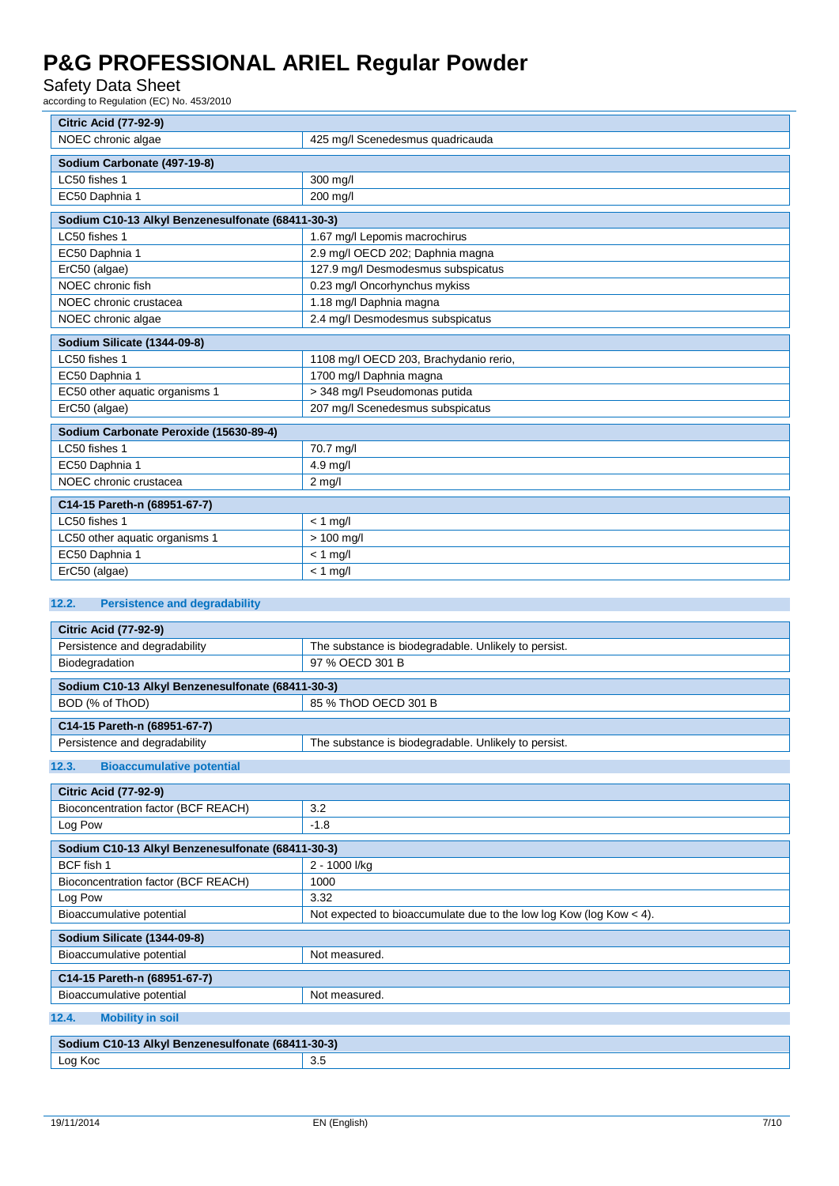#### Safety Data Sheet

according to Regulation (EC) No. 453/2010

|                                                   | <b>Citric Acid (77-92-9)</b>           |  |  |
|---------------------------------------------------|----------------------------------------|--|--|
| NOEC chronic algae                                | 425 mg/l Scenedesmus quadricauda       |  |  |
|                                                   |                                        |  |  |
| Sodium Carbonate (497-19-8)<br>LC50 fishes 1      |                                        |  |  |
|                                                   | 300 mg/l                               |  |  |
| EC50 Daphnia 1                                    | 200 mg/l                               |  |  |
| Sodium C10-13 Alkyl Benzenesulfonate (68411-30-3) |                                        |  |  |
| LC50 fishes 1                                     | 1.67 mg/l Lepomis macrochirus          |  |  |
| EC50 Daphnia 1                                    | 2.9 mg/l OECD 202; Daphnia magna       |  |  |
| ErC50 (algae)                                     | 127.9 mg/l Desmodesmus subspicatus     |  |  |
| NOEC chronic fish                                 | 0.23 mg/l Oncorhynchus mykiss          |  |  |
| NOEC chronic crustacea                            | 1.18 mg/l Daphnia magna                |  |  |
| NOEC chronic algae                                | 2.4 mg/l Desmodesmus subspicatus       |  |  |
| Sodium Silicate (1344-09-8)                       |                                        |  |  |
| LC50 fishes 1                                     | 1108 mg/l OECD 203, Brachydanio rerio, |  |  |
| EC50 Daphnia 1                                    | 1700 mg/l Daphnia magna                |  |  |
| EC50 other aquatic organisms 1                    | > 348 mg/l Pseudomonas putida          |  |  |
| ErC50 (algae)                                     | 207 mg/l Scenedesmus subspicatus       |  |  |
| Sodium Carbonate Peroxide (15630-89-4)            |                                        |  |  |
| LC50 fishes 1                                     | 70.7 mg/l                              |  |  |
| EC50 Daphnia 1                                    | $4.9$ mg/l                             |  |  |
| NOEC chronic crustacea                            | $2$ mg/l                               |  |  |
| C14-15 Pareth-n (68951-67-7)                      |                                        |  |  |
| LC50 fishes 1                                     | $< 1$ mg/l                             |  |  |
| LC50 other aquatic organisms 1                    | $> 100$ mg/l                           |  |  |
| EC50 Daphnia 1                                    | $<$ 1 mg/l                             |  |  |
| ErC50 (algae)                                     | $< 1$ mg/l                             |  |  |
| 122<br><b>Parcictance and degradability</b>       |                                        |  |  |

#### **12.2. Persistence and degradability**

| <b>Citric Acid (77-92-9)</b>                      |                                                                       |  |
|---------------------------------------------------|-----------------------------------------------------------------------|--|
| Persistence and degradability                     | The substance is biodegradable. Unlikely to persist.                  |  |
| Biodegradation                                    | 97 % OECD 301 B                                                       |  |
| Sodium C10-13 Alkyl Benzenesulfonate (68411-30-3) |                                                                       |  |
| BOD (% of ThOD)                                   | 85 % ThOD OECD 301 B                                                  |  |
| C14-15 Pareth-n (68951-67-7)                      |                                                                       |  |
| Persistence and degradability                     | The substance is biodegradable. Unlikely to persist.                  |  |
| <b>Bioaccumulative potential</b><br>12.3.         |                                                                       |  |
| <b>Citric Acid (77-92-9)</b>                      |                                                                       |  |
| Bioconcentration factor (BCF REACH)               | 3.2                                                                   |  |
| Log Pow                                           | $-1.8$                                                                |  |
| Sodium C10-13 Alkyl Benzenesulfonate (68411-30-3) |                                                                       |  |
| BCF fish 1                                        | 2 - 1000 l/kg                                                         |  |
| Bioconcentration factor (BCF REACH)               | 1000                                                                  |  |
| Log Pow                                           | 3.32                                                                  |  |
| Bioaccumulative potential                         | Not expected to bioaccumulate due to the low log Kow (log Kow $<$ 4). |  |
| Sodium Silicate (1344-09-8)                       |                                                                       |  |
| Bioaccumulative potential                         | Not measured.                                                         |  |
| C14-15 Pareth-n (68951-67-7)                      |                                                                       |  |
| Bioaccumulative potential                         | Not measured.                                                         |  |
| 12.4.<br><b>Mobility in soil</b>                  |                                                                       |  |
| Sodium C10-13 Alkyl Benzenesulfonate (68411-30-3) |                                                                       |  |
| Log Koc                                           | 3.5                                                                   |  |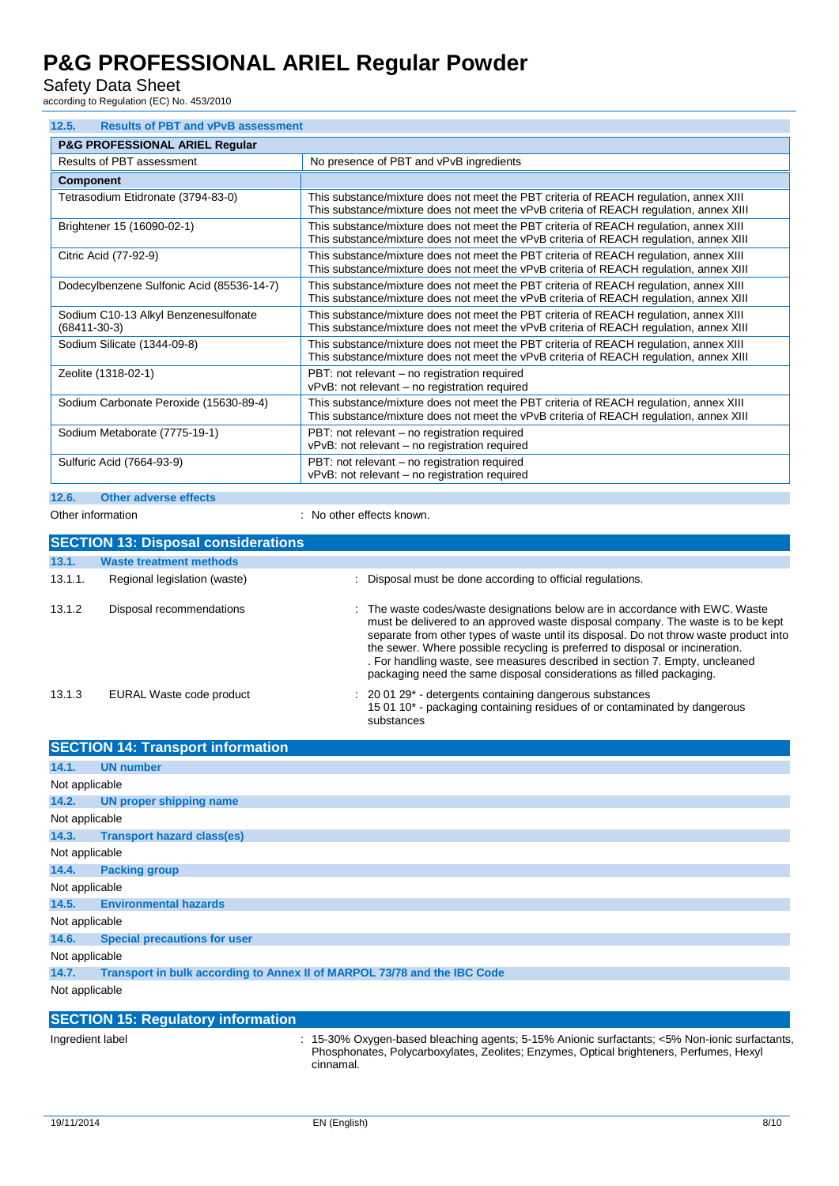Safety Data Sheet

according to Regulation (EC) No. 453/2010

| 12.5.<br><b>Results of PBT and vPvB assessment</b>         |                                                                                                                                                                                 |  |  |
|------------------------------------------------------------|---------------------------------------------------------------------------------------------------------------------------------------------------------------------------------|--|--|
| <b>P&amp;G PROFESSIONAL ARIEL Regular</b>                  |                                                                                                                                                                                 |  |  |
| Results of PBT assessment                                  | No presence of PBT and vPvB ingredients                                                                                                                                         |  |  |
| <b>Component</b>                                           |                                                                                                                                                                                 |  |  |
| Tetrasodium Etidronate (3794-83-0)                         | This substance/mixture does not meet the PBT criteria of REACH regulation, annex XIII<br>This substance/mixture does not meet the vPvB criteria of REACH regulation, annex XIII |  |  |
| Brightener 15 (16090-02-1)                                 | This substance/mixture does not meet the PBT criteria of REACH regulation, annex XIII<br>This substance/mixture does not meet the vPvB criteria of REACH regulation, annex XIII |  |  |
| Citric Acid (77-92-9)                                      | This substance/mixture does not meet the PBT criteria of REACH regulation, annex XIII<br>This substance/mixture does not meet the vPvB criteria of REACH regulation, annex XIII |  |  |
| Dodecylbenzene Sulfonic Acid (85536-14-7)                  | This substance/mixture does not meet the PBT criteria of REACH regulation, annex XIII<br>This substance/mixture does not meet the vPvB criteria of REACH regulation, annex XIII |  |  |
| Sodium C10-13 Alkyl Benzenesulfonate<br>$(68411 - 30 - 3)$ | This substance/mixture does not meet the PBT criteria of REACH regulation, annex XIII<br>This substance/mixture does not meet the vPvB criteria of REACH regulation, annex XIII |  |  |
| Sodium Silicate (1344-09-8)                                | This substance/mixture does not meet the PBT criteria of REACH regulation, annex XIII<br>This substance/mixture does not meet the vPvB criteria of REACH regulation, annex XIII |  |  |
| Zeolite (1318-02-1)                                        | PBT: not relevant – no registration required<br>vPvB: not relevant – no registration required                                                                                   |  |  |
| Sodium Carbonate Peroxide (15630-89-4)                     | This substance/mixture does not meet the PBT criteria of REACH regulation, annex XIII<br>This substance/mixture does not meet the vPvB criteria of REACH regulation, annex XIII |  |  |
| Sodium Metaborate (7775-19-1)                              | PBT: not relevant - no registration required<br>vPvB: not relevant - no registration required                                                                                   |  |  |
| Sulfuric Acid (7664-93-9)                                  | PBT: not relevant – no registration required<br>vPvB: not relevant - no registration required                                                                                   |  |  |

### **12.6. Other adverse effects**

Other information **interest in the contract of the CO** interest and the CO interest of the CO interest of the CO interest of the CO interest of the CO interest of the CO interest of the CO interest of the CO interest of th

| <b>SECTION 13: Disposal considerations</b> |                                |                                                                                                                                                                                                                                                                                                                                                                                                                                                                                                    |  |  |
|--------------------------------------------|--------------------------------|----------------------------------------------------------------------------------------------------------------------------------------------------------------------------------------------------------------------------------------------------------------------------------------------------------------------------------------------------------------------------------------------------------------------------------------------------------------------------------------------------|--|--|
| 13.1.                                      | <b>Waste treatment methods</b> |                                                                                                                                                                                                                                                                                                                                                                                                                                                                                                    |  |  |
| 13.1.1.                                    | Regional legislation (waste)   | Disposal must be done according to official regulations.                                                                                                                                                                                                                                                                                                                                                                                                                                           |  |  |
| 13.1.2                                     | Disposal recommendations       | : The waste codes/waste designations below are in accordance with EWC. Waste<br>must be delivered to an approved waste disposal company. The waste is to be kept<br>separate from other types of waste until its disposal. Do not throw waste product into<br>the sewer. Where possible recycling is preferred to disposal or incineration.<br>. For handling waste, see measures described in section 7. Empty, uncleaned<br>packaging need the same disposal considerations as filled packaging. |  |  |
| 13.1.3                                     | EURAL Waste code product       | $\therefore$ 20 01 29 $^*$ - detergents containing dangerous substances<br>15 01 10* - packaging containing residues of or contaminated by dangerous<br>substances                                                                                                                                                                                                                                                                                                                                 |  |  |

|                                    | <b>SECTION 14: Transport information</b>                                                                                                                    |  |
|------------------------------------|-------------------------------------------------------------------------------------------------------------------------------------------------------------|--|
| 14.1.                              | <b>UN number</b>                                                                                                                                            |  |
| Not applicable                     |                                                                                                                                                             |  |
| 14.2.                              | UN proper shipping name                                                                                                                                     |  |
| Not applicable                     |                                                                                                                                                             |  |
| 14.3.                              | <b>Transport hazard class(es)</b>                                                                                                                           |  |
| Not applicable                     |                                                                                                                                                             |  |
| 14.4.                              | <b>Packing group</b>                                                                                                                                        |  |
| Not applicable                     |                                                                                                                                                             |  |
| 14.5.                              | <b>Environmental hazards</b>                                                                                                                                |  |
| Not applicable                     |                                                                                                                                                             |  |
| 14.6.                              | <b>Special precautions for user</b>                                                                                                                         |  |
| Not applicable                     |                                                                                                                                                             |  |
| 14.7.                              | Transport in bulk according to Annex II of MARPOL 73/78 and the IBC Code                                                                                    |  |
| Not applicable                     |                                                                                                                                                             |  |
|                                    |                                                                                                                                                             |  |
| the second the contribution of the | <b>SECTION 15: Regulatory information</b><br>$\sim$ 4 F 000/ $\Omega$ , and here differently constant 4 FM. Actually conference of FM. New tests conference |  |

Ingredient label : 15-30% Oxygen-based bleaching agents; 5-15% Anionic surfactants; <5% Non-ionic surfactants, Phosphonates, Polycarboxylates, Zeolites; Enzymes, Optical brighteners, Perfumes, Hexyl cinnamal.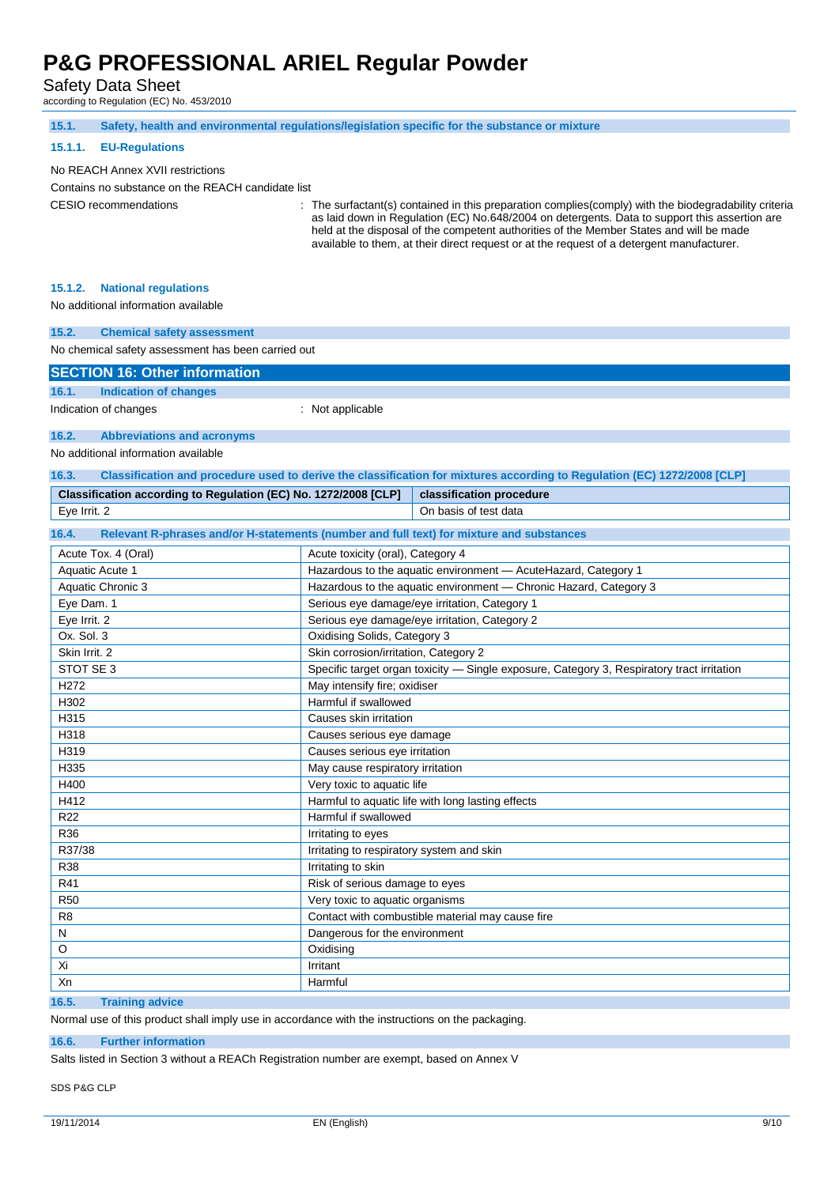Safety Data Sheet

according to Regulation (EC) No. 453/2010

| 15.1.                                                           | Safety, health and environmental regulations/legislation specific for the substance or mixture                                                                                                                                                                                        |
|-----------------------------------------------------------------|---------------------------------------------------------------------------------------------------------------------------------------------------------------------------------------------------------------------------------------------------------------------------------------|
| 15.1.1.<br><b>EU-Regulations</b>                                |                                                                                                                                                                                                                                                                                       |
| No REACH Annex XVII restrictions                                |                                                                                                                                                                                                                                                                                       |
| Contains no substance on the REACH candidate list               |                                                                                                                                                                                                                                                                                       |
| <b>CESIO</b> recommendations                                    | The surfactant(s) contained in this preparation complies (comply) with the biodegradability criteria                                                                                                                                                                                  |
|                                                                 | as laid down in Regulation (EC) No.648/2004 on detergents. Data to support this assertion are<br>held at the disposal of the competent authorities of the Member States and will be made<br>available to them, at their direct request or at the request of a detergent manufacturer. |
| 15.1.2.<br><b>National regulations</b>                          |                                                                                                                                                                                                                                                                                       |
| No additional information available                             |                                                                                                                                                                                                                                                                                       |
|                                                                 |                                                                                                                                                                                                                                                                                       |
| 15.2.<br><b>Chemical safety assessment</b>                      |                                                                                                                                                                                                                                                                                       |
| No chemical safety assessment has been carried out              |                                                                                                                                                                                                                                                                                       |
| <b>SECTION 16: Other information</b>                            |                                                                                                                                                                                                                                                                                       |
| 16.1.<br><b>Indication of changes</b>                           |                                                                                                                                                                                                                                                                                       |
| Indication of changes                                           | : Not applicable                                                                                                                                                                                                                                                                      |
| 16.2.<br><b>Abbreviations and acronyms</b>                      |                                                                                                                                                                                                                                                                                       |
| No additional information available                             |                                                                                                                                                                                                                                                                                       |
| 16.3.                                                           | Classification and procedure used to derive the classification for mixtures according to Regulation (EC) 1272/2008 [CLP]                                                                                                                                                              |
| Classification according to Regulation (EC) No. 1272/2008 [CLP] | classification procedure                                                                                                                                                                                                                                                              |
| Eye Irrit. 2                                                    | On basis of test data                                                                                                                                                                                                                                                                 |
| 16.4.                                                           | Relevant R-phrases and/or H-statements (number and full text) for mixture and substances                                                                                                                                                                                              |
| Acute Tox. 4 (Oral)                                             | Acute toxicity (oral), Category 4                                                                                                                                                                                                                                                     |
| Aquatic Acute 1                                                 | Hazardous to the aquatic environment - AcuteHazard, Category 1                                                                                                                                                                                                                        |
| Aquatic Chronic 3                                               | Hazardous to the aquatic environment - Chronic Hazard, Category 3                                                                                                                                                                                                                     |
| Eye Dam. 1                                                      | Serious eye damage/eye irritation, Category 1                                                                                                                                                                                                                                         |
| Eye Irrit. 2                                                    | Serious eye damage/eye irritation, Category 2                                                                                                                                                                                                                                         |
| Ox. Sol. 3                                                      | Oxidising Solids, Category 3                                                                                                                                                                                                                                                          |
| Skin Irrit. 2                                                   | Skin corrosion/irritation, Category 2                                                                                                                                                                                                                                                 |
| STOT SE 3                                                       | Specific target organ toxicity - Single exposure, Category 3, Respiratory tract irritation                                                                                                                                                                                            |
| H <sub>272</sub>                                                | May intensify fire; oxidiser                                                                                                                                                                                                                                                          |
| H302                                                            | Harmful if swallowed                                                                                                                                                                                                                                                                  |
| H315                                                            | Causes skin irritation                                                                                                                                                                                                                                                                |
| H318                                                            | Causes serious eye damage                                                                                                                                                                                                                                                             |
| H319                                                            | Causes serious eye irritation                                                                                                                                                                                                                                                         |
| H335                                                            | May cause respiratory irritation                                                                                                                                                                                                                                                      |
| H400                                                            | Very toxic to aquatic life                                                                                                                                                                                                                                                            |
| H412                                                            | Harmful to aquatic life with long lasting effects                                                                                                                                                                                                                                     |
| <b>R22</b>                                                      | Harmful if swallowed                                                                                                                                                                                                                                                                  |
| R36                                                             | Irritating to eyes                                                                                                                                                                                                                                                                    |
| R37/38<br><b>R38</b>                                            | Irritating to respiratory system and skin<br>Irritating to skin                                                                                                                                                                                                                       |
| R41                                                             | Risk of serious damage to eyes                                                                                                                                                                                                                                                        |
| <b>R50</b>                                                      | Very toxic to aquatic organisms                                                                                                                                                                                                                                                       |
| R8                                                              | Contact with combustible material may cause fire                                                                                                                                                                                                                                      |
| ${\sf N}$                                                       | Dangerous for the environment                                                                                                                                                                                                                                                         |
| O                                                               | Oxidising                                                                                                                                                                                                                                                                             |
| Xi                                                              | Irritant                                                                                                                                                                                                                                                                              |
| Xn                                                              | Harmful                                                                                                                                                                                                                                                                               |
|                                                                 |                                                                                                                                                                                                                                                                                       |

**16.5. Training advice**

Normal use of this product shall imply use in accordance with the instructions on the packaging.

#### **16.6. Further information**

Salts listed in Section 3 without a REACh Registration number are exempt, based on Annex V

SDS P&G CLP